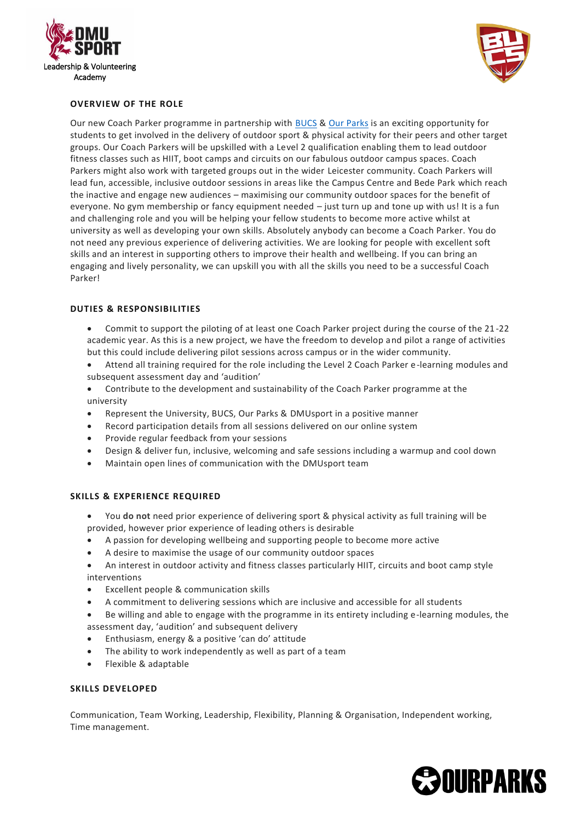



## **OVERVIEW OF THE ROLE**

Our new Coach Parker programme in partnership with [BUCS](https://www.bucs.org.uk/get-involved/coach-parker.html) & Our [Parks](https://ourparks.org.uk/) is an exciting opportunity for students to get involved in the delivery of outdoor sport & physical activity for their peers and other target groups. Our Coach Parkers will be upskilled with a Level 2 qualification enabling them to lead outdoor fitness classes such as HIIT, boot camps and circuits on our fabulous outdoor campus spaces. Coach Parkers might also work with targeted groups out in the wider Leicester community. Coach Parkers will lead fun, accessible, inclusive outdoor sessions in areas like the Campus Centre and Bede Park which reach the inactive and engage new audiences – maximising our community outdoor spaces for the benefit of everyone. No gym membership or fancy equipment needed – just turn up and tone up with us! It is a fun and challenging role and you will be helping your fellow students to become more active whilst at university as well as developing your own skills. Absolutely anybody can become a Coach Parker. You do not need any previous experience of delivering activities. We are looking for people with excellent soft skills and an interest in supporting others to improve their health and wellbeing. If you can bring an engaging and lively personality, we can upskill you with all the skills you need to be a successful Coach Parker!

## **DUTIES & RESPONSIBILITIES**

- Commit to support the piloting of at least one Coach Parker project during the course of the 21 -22 academic year. As this is a new project, we have the freedom to develop and pilot a range of activities but this could include delivering pilot sessions across campus or in the wider community.
- Attend all training required for the role including the Level 2 Coach Parker e-learning modules and subsequent assessment day and 'audition'
- Contribute to the development and sustainability of the Coach Parker programme at the university
- Represent the University, BUCS, Our Parks & DMUsport in a positive manner
- Record participation details from all sessions delivered on our online system
- Provide regular feedback from your sessions
- Design & deliver fun, inclusive, welcoming and safe sessions including a warmup and cool down
- Maintain open lines of communication with the DMUsport team

## **SKILLS & EXPERIENCE REQUIRED**

- You **do not** need prior experience of delivering sport & physical activity as full training will be provided, however prior experience of leading others is desirable
- A passion for developing wellbeing and supporting people to become more active
- A desire to maximise the usage of our community outdoor spaces
- An interest in outdoor activity and fitness classes particularly HIIT, circuits and boot camp style interventions
- Excellent people & communication skills
- A commitment to delivering sessions which are inclusive and accessible for all students
- Be willing and able to engage with the programme in its entirety including e-learning modules, the assessment day, 'audition' and subsequent delivery
- Enthusiasm, energy & a positive 'can do' attitude
- The ability to work independently as well as part of a team
- Flexible & adaptable

## **SKILLS DEVELOPED**

Communication, Team Working, Leadership, Flexibility, Planning & Organisation, Independent working, Time management.